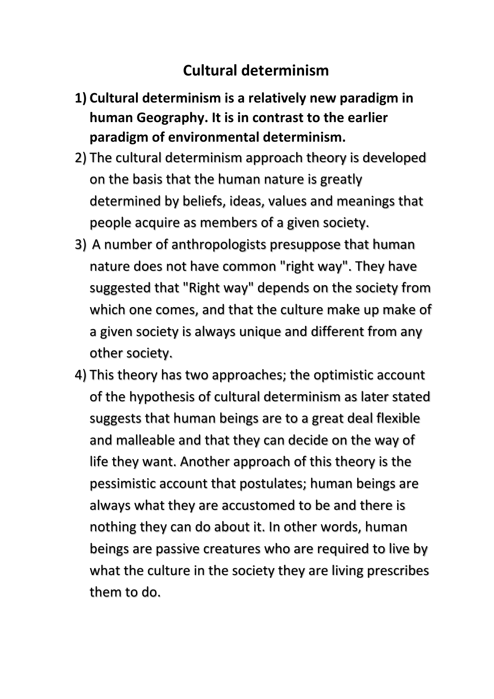## **Cultural determinism**

- **1) Cultural determinism is a relatively new paradigm in human Geography. It is in contrast to the earlier paradigm of environmental determinism.**
- 2) The cultural determinism approach theory is developed on the basis that the human nature is greatly determined by beliefs, ideas, values and meanings that people acquire as members of a given society.
- 3) A number of anthropologists presuppose that human nature does not have common "right way". They have suggested that "Right way" depends on the society from which one comes, and that the culture make up make of a given society is always unique and different from any other society.
- 4) This theory has two approaches; the optimistic account of the hypothesis of cultural determinism as later stated suggests that human beings are to a great deal flexible and malleable and that they can decide on the way of life they want. Another approach of this theory is the pessimistic account that postulates; human beings are always what they are accustomed to be and there is nothing they can do about it. In other words, human beings are passive creatures who are required to live by what the culture in the society they are living prescribes them to do.